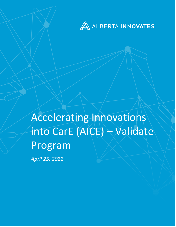

Accelerating Innovations into CarE (AICE) – Validate Program *April 25, 2022*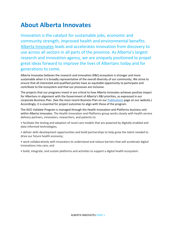## **About Alberta Innovates**

Innovation is the catalyst for sustainable jobs, economic and community strength, improved health and environmental benefits. [Alberta Innovates](https://albertainnovates.ca/) leads and accelerates innovation from discovery to use across all sectors in all parts of the province. As Alberta's largest research and innovation agency, we are uniquely positioned to propel great ideas forward to improve the lives of Albertans today and for generations to come.

Alberta Innovates believes the research and innovation (R&I) ecosystem is stronger and more sustainable when it is broadly representative of the overall diversity of our community. We strive to ensure that all interested and qualified parties have an equitable opportunity to participate and contribute to the ecosystem and that our processes are inclusive.

The projects that our programs invest in are critical to how Alberta Innovates achieves positive impact for Albertans in alignment with the Government of Alberta's R&I priorities, as expressed in our corporate Business Plan. (See the most recent Business Plan on our [Publications](https://albertainnovates.ca/impact/publications/) page on our website.) Accordingly, it is essential for project outcomes to align with those of the program.

The AICE-Validate Program is managed through the Health Innovation and Platforms business unit within Alberta Innovates. The Health Innovation and Platforms group works closely with health service delivery partners, innovators, researchers, and patients to:

• facilitate the testing and adoption of novel care models that are powered by digitally enabled and data-informed technologies;

• deliver skills development opportunities and build partnerships to help grow the talent needed to drive our future health economy;

• work collaboratively with innovators to understand and reduce barriers that will accelerate digital innovations into care; and

• build, integrate, and sustain platforms and activities to support a digital health ecosystem.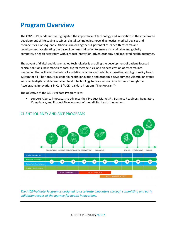# **Program Overview**

The COVID-19 pandemic has highlighted the importance of technology and innovation in the accelerated development of life-saving vaccines, digital technologies, novel diagnostics, medical devices and therapeutics. Consequently, Alberta is unlocking the full potential of its health research and development, accelerating the pace of commercialization to ensure a sustainable and globally competitive health ecosystem with a robust innovation-driven economy and improved health outcomes.

The advent of digital and data-enabled technologies is enabling the development of patient-focused clinical solutions, new models of care, digital therapeutics, and an acceleration of research into innovation that will form the future foundation of a more affordable, accessible, and high-quality health system for all Albertans. As a leader in health innovation and economic development, Alberta Innovates will enable digital and data-enabled health technology to drive economic outcomes through the Accelerating Innovations in CarE (AICE)-Validate Program ("The Program").

The objective of the AICE-Validate Program is to:

• support Alberta innovators to advance their Product-Market Fit, Business Readiness, Regulatory Compliance, and Product Development of their digital health innovations.



#### CLIENT JOURNEY AND AICE PROGRAMS

*The AICE-Validate Program is designed to accelerate innovators through committing and early validation stages of the journey for health innovations.*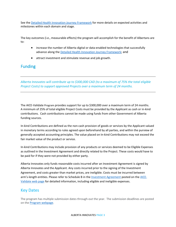See the [Detailed Health Innovation Journey Framework](https://albertainnovates.ca/app/uploads/2022/02/Health-Innovation-Client-Journey-AICE-Program-Mapping.pdf) for more details on expected activities and milestones within each domain and stage.

The key outcomes (i.e., measurable effects) the program will accomplish for the benefit of Albertans are to:

- increase the number of Alberta digital or data-enabled technologies that successfully advance along the [Detailed Health Innovation Journey Framework](https://albertainnovates.ca/app/uploads/2022/02/Health-Innovation-Client-Journey-AICE-Program-Mapping.pdf); and
- attract investment and stimulate revenue and job growth.

### Funding

*Alberta Innovates will contribute up to \$300,000 CAD (to a maximum of 75% the total eligible Project Costs) to support approved Projects over a maximum term of 24 months.*

The AICE-Validate Program provides support for up to \$300,000 over a maximum term of 24 months. A minimum of 25% of total eligible Project Costs must be provided by the Applicant as cash or in-kind contributions. Cash contributions cannot be made using funds from other Government of Alberta funding sources.

In-kind Contributions are defined as the non-cash provision of goods or services by the Applicant valued in monetary terms according to rules agreed upon beforehand by all parties, and within the purview of generally accepted accounting principles. The value placed on In-kind Contributions may not exceed the fair market value of the product or service.

In-kind Contributions may include provision of any products or services deemed to be Eligible Expenses as outlined in the Investment Agreement and directly related to the Project. These costs would have to be paid for if they were not provided by either party.

Alberta Innovates only funds reasonable costs incurred after an Investment Agreement is signed by Alberta Innovates and the Applicant. Any costs incurred prior to the signing of the Investment Agreement, and costs greater than market prices, are ineligible. Costs must be incurred between arm's-length entities. Please refer to Schedule B in the [Investment Agreement](https://albertainnovates.ca/app/uploads/2020/09/AICE-Validate-Investment-Agreement-Sep-2020.pdf) posted on the [AICE-](https://albertainnovates.ca/programs/accelerating-innovations-into-care-aice-validate-program/)Validate [web page](https://albertainnovates.ca/programs/accelerating-innovations-into-care-aice-validate-program/) for detailed information, including eligible and ineligible expenses.

### Key Dates

The program has multiple submission dates through-out the year. The submission deadlines are posted on the **Program webpage**.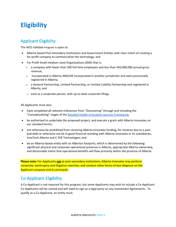# **Eligibility**

## Applicant Eligibility

The AICE-Validate Program is open to:

- Alberta based Post-Secondary Institutions and Government Entities with clear intent of creating a for-profit company to commercialize the technology; and
- For-Profit Small-medium sized Organizations (SME) that is:
	- $\circ$  a company with fewer than 500 full-time employees and less than \$50,000,000 annual gross revenue;
	- $\circ$  incorporated in Alberta AND/OR incorporated in another jurisdiction and extra provincially registered in Alberta;
	- $\circ$  a General Partnership, Limited Partnership, or Limited Liability Partnership and registered in Alberta; and
	- $\circ$  exist as a corporate person, with up-to-date corporate filings.

All Applicants must also:

- have completed all relevant milestones from "Discovering" through and including the "Conceptualizing" stages of th[e Detailed Health Innovation Journey Framework;](https://albertainnovates.ca/app/uploads/2022/02/Health-Innovation-Client-Journey-AICE-Program-Mapping.pdf)
- be authorized to undertake the proposed project, and execute a grant with Alberta Innovates on our standard terms;
- not otherwise be prohibited from receiving Alberta Innovates funding, for instance due to a past bad debt or otherwise not be in good financial standing with Alberta Innovates or its subsidiaries, InnoTech Alberta and C-FER Technologies; and
- be an Alberta-based entity with an Albertan footprint, which is determined by the following: significant physical and corporate operational presence in Alberta, appropriate Alberta ownership, and discernable intent that operational benefits will flow primarily within the province of Alberta.

**Please note:** For Applicants **not** at post-secondary institutions, Alberta Innovates may perform corporate, bankruptcy and litigation searches, and conduct other forms of due diligence on the Applicant company and its principals.

## Co-Applicant Eligibility

A Co-Applicant is not required for this program, but some Applicants may wish to include a Co-Applicant. Co-Applicants will be named and will need to sign as a legal party on any Investment Agreements. To qualify as a Co-Applicant, an entity must: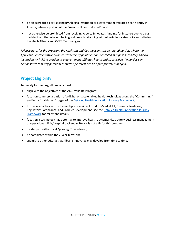- be an accredited post-secondary Alberta Institution or a government affiliated health entity in Alberta, where a portion of the Project will be conducted\*; and
- not otherwise be prohibited from receiving Alberta Innovates funding, for instance due to a past bad debt or otherwise not be in good financial standing with Alberta Innovates or its subsidiaries, InnoTech Alberta and C-FER Technologies.

*\*Please note, for this Program, the Applicant and Co-Applicant can be related parties, where the Applicant Representative holds an academic appointment or is enrolled at a post-secondary Alberta Institution, or holds a position at a government affiliated health entity, provided the parties can demonstrate that any potential conflicts of interest can be appropriately managed.*

## Project Eligibility

To qualify for funding, all Projects must:

- align with the objectives of the AICE-Validate Program;
- focus on commercialization of a digital or data-enabled health technology along the "Committing" and initial "Validating" stages of the [Detailed Health Innovation Journey Framework,](https://albertainnovates.ca/app/uploads/2022/02/Health-Innovation-Client-Journey-AICE-Program-Mapping.pdf)
- focus on activities across the multiple domains of Product-Market Fit, Business Readiness, Regulatory Compliance, and Product Development (see the Detailed Health Innovation Journey [Framework](https://albertainnovates.ca/app/uploads/2022/02/Health-Innovation-Client-Journey-AICE-Program-Mapping.pdf) for milestone details);
- focus on a technology has potential to improve health outcomes (i.e., purely business management or operational clinic/hospital backend software is not a fit for this program);
- be stepped with critical "go/no go" milestones;
- be completed within the 2-year term; and
- submit to other criteria that Alberta Innovates may develop from time to time.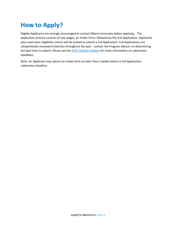# **How to Apply?**

Eligible Applicants are strongly encouraged to contact Alberta Innovates before applying. The application process consists of two stages: an Intake Form, followed by the Full Application. Applicants who meet basic eligibility criteria will be invited to submit a Full Application. Full Applications are competitively reviewed in batches throughout the year - contact the Program Advisor on determining the best time to submit. Please see the **AICE-Validate website** for more information on submission deadlines.

Note: An Applicant may submit an Intake Form no later than 2 weeks before a Full Application submission deadline.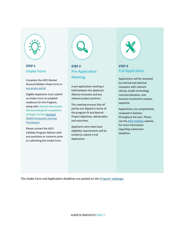

### **STEP 1** Intake Form

Complete the AICE Market Access/Validate Intake Form in [our grants portal](https://albertainnovates.smartsimple.ca/)

Eligible Applicants must submit an Intake Form to establish readiness for the Program, along with relevant documents demonstrating full completion of Stage 3 of th[e Detailed](https://albertainnovates.ca/app/uploads/2022/02/Health-Innovation-Client-Journey-AICE-Program-Mapping.pdf)  [Health Innovation Journey](https://albertainnovates.ca/app/uploads/2022/02/Health-Innovation-Client-Journey-AICE-Program-Mapping.pdf)  [Framework.](https://albertainnovates.ca/app/uploads/2022/02/Health-Innovation-Client-Journey-AICE-Program-Mapping.pdf)

Please contact the AICE-Validate Program Advisor with any questions or concerns prior to submitting the Intake Form.



## **STEP 2** Pre-Application Meeting

A pre-application meeting is held between the Applicant, Alberta Innovates and any relevant project partners.

This meeting ensures that all parties are aligned in terms of the program fit and desired Project objectives, deliverables and outcomes.

Applicants who meet basic eligibility requirements will be invited to submit a Full Application.



### **STEP 3** Full Application

Applications will be reviewed by internal and external reviewers with relevant clinical, health technology commercialization, and business investment analysis expertise.

Applications are competitively reviewed in batches throughout the year. Please see the **AICE-Validate** website for more information regarding submission deadlines.

The Intake Form and Application deadlines are posted on the [Program webpage.](https://albertainnovates.ca/programs/accelerating-innovations-into-care-aice-validate-program/)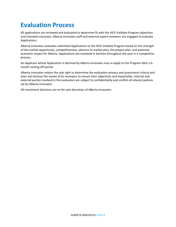# **Evaluation Process**

All applications are reviewed and evaluated to determine fit with the AICE-Validate Program objectives and intended outcomes. Alberta Innovates staff and external expert reviewers are engaged to evaluate Applications.

Alberta Innovates evaluates submitted Applications to the AICE Validate Program based on the strength of the market opportunity, competitiveness, advance to market plan, the project plan, and potential economic impact for Alberta. Applications are reviewed in batches throughout the year in a competitive process.

An Applicant whose Application is declined by Alberta Innovates may re-apply to the Program after a 6 month cooling-off period.

Alberta Innovates retains the sole right to determine the evaluation process and assessment criteria and does not disclose the names of its reviewers to ensure their objectivity and impartiality. Internal and external parties involved in the evaluation are subject to confidentiality and conflict-of-interest policies set by Alberta Innovates.

All investment decisions are at the sole discretion of Alberta Innovates.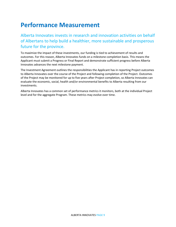## **Performance Measurement**

Alberta Innovates invests in research and innovation activities on behalf of Albertans to help build a healthier, more sustainable and prosperous future for the province.

To maximize the impact of these investments, our funding is tied to achievement of results and outcomes. For this reason, Alberta Innovates funds on a milestone completion basis. This means the Applicant must submit a Progress or Final Report and demonstrate sufficient progress before Alberta Innovates advances the next milestone payment.

The Investment Agreement outlines the responsibilities the Applicant has in reporting Project outcomes to Alberta Innovates over the course of the Project and following completion of the Project. Outcomes of the Project may be monitored for up to five years after Project completion, so Alberta Innovates can evaluate the economic, social, health and/or environmental benefits to Alberta resulting from our investments.

Alberta Innovates has a common set of performance metrics it monitors, both at the individual Project level and for the aggregate Program. These metrics may evolve over time.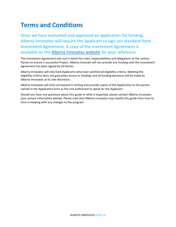# **Terms and Conditions**

Once we have evaluated and approved an application for funding, Alberta Innovates will require the Applicant to sign our standard-form Investment Agreement. A copy of the Investment Agreement is available on the Alberta [Innovates](https://albertainnovates.ca/app/uploads/2020/09/AICE-Validate-Investment-Agreement-Sep-2020.pdf) website for your reference.

The Investment Agreement sets out in detail the roles, responsibilities and obligations of the various Parties to ensure a successful Project. Alberta Innovate will not provide any funding until the Investment Agreement has been signed by all Parties.

Alberta Innovates will only fund Applicants who have satisfied all eligibility criteria. Meeting the eligibility criteria does not guarantee access to funding, and all funding decisions will be made by Alberta Innovates at its sole discretion.

Alberta Innovates will only correspond in writing and provide copies of the Application to the person named in the Application form as the one authorized to speak for the Applicant.

Should you have any questions about this guide or what is expected, please contact Alberta Innovates (see contact information below). Please note that Alberta Innovates may modify this guide from time to time in keeping with any changes to the program.